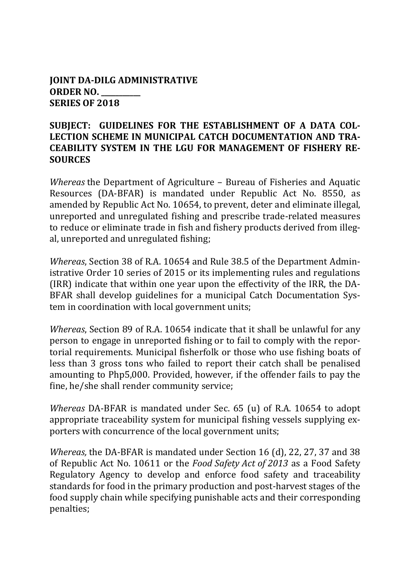#### **JOINT DA-DILG ADMINISTRATIVE ORDER NO. \_\_\_\_\_\_\_\_\_\_\_ SERIES OF 2018**

#### **SUBJECT: GUIDELINES FOR THE ESTABLISHMENT OF A DATA COL-LECTION SCHEME IN MUNICIPAL CATCH DOCUMENTATION AND TRA-CEABILITY SYSTEM IN THE LGU FOR MANAGEMENT OF FISHERY RE-SOURCES**

*Whereas* the Department of Agriculture – Bureau of Fisheries and Aquatic Resources (DA-BFAR) is mandated under Republic Act No. 8550, as amended by Republic Act No. 10654, to prevent, deter and eliminate illegal, unreported and unregulated fishing and prescribe trade-related measures to reduce or eliminate trade in fish and fishery products derived from illegal, unreported and unregulated fishing;

*Whereas*, Section 38 of R.A. 10654 and Rule 38.5 of the Department Administrative Order 10 series of 2015 or its implementing rules and regulations (IRR) indicate that within one year upon the effectivity of the IRR, the DA-BFAR shall develop guidelines for a municipal Catch Documentation System in coordination with local government units;

*Whereas*, Section 89 of R.A. 10654 indicate that it shall be unlawful for any person to engage in unreported fishing or to fail to comply with the reportorial requirements. Municipal fisherfolk or those who use fishing boats of less than 3 gross tons who failed to report their catch shall be penalised amounting to Php5,000. Provided, however, if the offender fails to pay the fine, he/she shall render community service;

*Whereas* DA-BFAR is mandated under Sec. 65 (u) of R.A. 10654 to adopt appropriate traceability system for municipal fishing vessels supplying exporters with concurrence of the local government units;

*Whereas,* the DA-BFAR is mandated under Section 16 (d), 22, 27, 37 and 38 of Republic Act No. 10611 or the *Food Safety Act of 2013* as a Food Safety Regulatory Agency to develop and enforce food safety and traceability standards for food in the primary production and post-harvest stages of the food supply chain while specifying punishable acts and their corresponding penalties;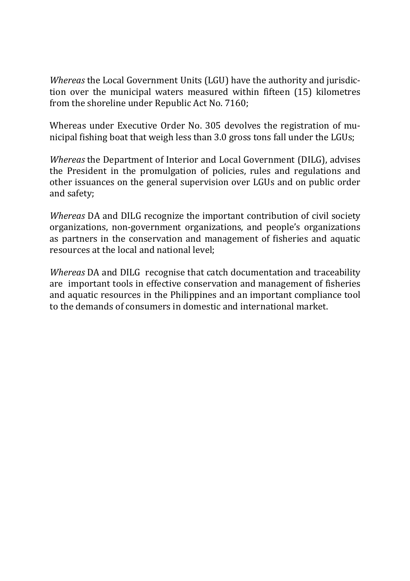*Whereas* the Local Government Units (LGU) have the authority and jurisdiction over the municipal waters measured within fifteen (15) kilometres from the shoreline under Republic Act No. 7160;

Whereas under Executive Order No. 305 devolves the registration of municipal fishing boat that weigh less than 3.0 gross tons fall under the LGUs;

*Whereas* the Department of Interior and Local Government (DILG), advises the President in the promulgation of policies, rules and regulations and other issuances on the general supervision over LGUs and on public order and safety;

*Whereas* DA and DILG recognize the important contribution of civil society organizations, non-government organizations, and people's organizations as partners in the conservation and management of fisheries and aquatic resources at the local and national level;

*Whereas* DA and DILG recognise that catch documentation and traceability are important tools in effective conservation and management of fisheries and aquatic resources in the Philippines and an important compliance tool to the demands of consumers in domestic and international market.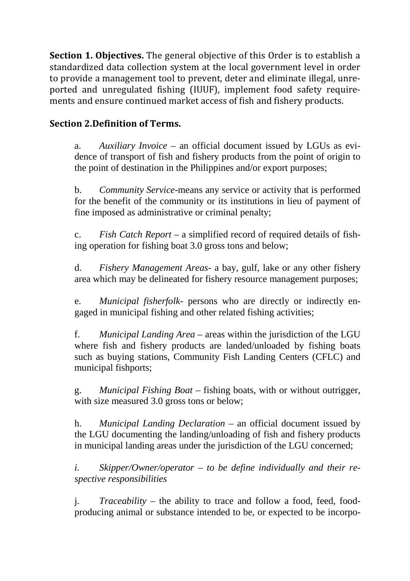**Section 1. Objectives.** The general objective of this Order is to establish a standardized data collection system at the local government level in order to provide a management tool to prevent, deter and eliminate illegal, unreported and unregulated fishing (IUUF), implement food safety requirements and ensure continued market access of fish and fishery products.

## **Section 2.Definition of Terms.**

a. *Auxiliary Invoice* – an official document issued by LGUs as evidence of transport of fish and fishery products from the point of origin to the point of destination in the Philippines and/or export purposes;

b. *Community Service*-means any service or activity that is performed for the benefit of the community or its institutions in lieu of payment of fine imposed as administrative or criminal penalty;

c. *Fish Catch Report* – a simplified record of required details of fishing operation for fishing boat 3.0 gross tons and below;

d. *Fishery Management Areas*- a bay, gulf, lake or any other fishery area which may be delineated for fishery resource management purposes;

e. *Municipal fisherfolk*- persons who are directly or indirectly engaged in municipal fishing and other related fishing activities;

f. *Municipal Landing Area* – areas within the jurisdiction of the LGU where fish and fishery products are landed/unloaded by fishing boats such as buying stations, Community Fish Landing Centers (CFLC) and municipal fishports;

g. *Municipal Fishing Boat* – fishing boats, with or without outrigger, with size measured 3.0 gross tons or below;

h. *Municipal Landing Declaration* – an official document issued by the LGU documenting the landing/unloading of fish and fishery products in municipal landing areas under the jurisdiction of the LGU concerned;

*i. Skipper/Owner/operator* – *to be define individually and their respective responsibilities*

j. *Traceability* – the ability to trace and follow a food, feed, foodproducing animal or substance intended to be, or expected to be incorpo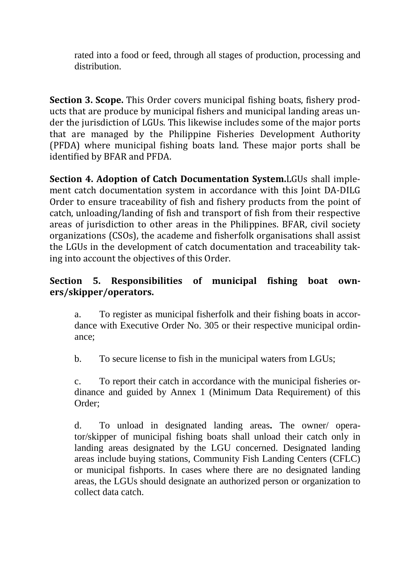rated into a food or feed, through all stages of production, processing and distribution.

**Section 3. Scope.** This Order covers municipal fishing boats, fishery products that are produce by municipal fishers and municipal landing areas under the jurisdiction of LGUs. This likewise includes some of the major ports that are managed by the Philippine Fisheries Development Authority (PFDA) where municipal fishing boats land. These major ports shall be identified by BFAR and PFDA.

**Section 4. Adoption of Catch Documentation System.**LGUs shall implement catch documentation system in accordance with this Joint DA-DILG Order to ensure traceability of fish and fishery products from the point of catch, unloading/landing of fish and transport of fish from their respective areas of jurisdiction to other areas in the Philippines. BFAR, civil society organizations (CSOs), the academe and fisherfolk organisations shall assist the LGUs in the development of catch documentation and traceability taking into account the objectives of this Order.

## **Section 5. Responsibilities of municipal fishing boat owners/skipper/operators.**

a. To register as municipal fisherfolk and their fishing boats in accordance with Executive Order No. 305 or their respective municipal ordinance;

b. To secure license to fish in the municipal waters from LGUs;

c. To report their catch in accordance with the municipal fisheries ordinance and guided by Annex 1 (Minimum Data Requirement) of this Order;

d. To unload in designated landing areas**.** The owner/ operator/skipper of municipal fishing boats shall unload their catch only in landing areas designated by the LGU concerned. Designated landing areas include buying stations, Community Fish Landing Centers (CFLC) or municipal fishports. In cases where there are no designated landing areas, the LGUs should designate an authorized person or organization to collect data catch.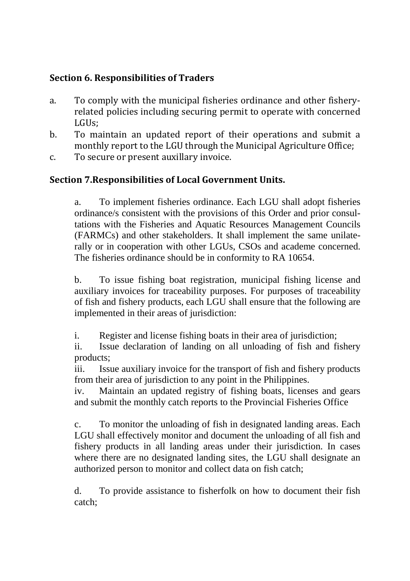# **Section 6. Responsibilities of Traders**

- a. To comply with the municipal fisheries ordinance and other fisheryrelated policies including securing permit to operate with concerned LGUs;
- b. To maintain an updated report of their operations and submit a monthly report to the LGU through the Municipal Agriculture Office;
- c. To secure or present auxillary invoice.

# **Section 7.Responsibilities of Local Government Units.**

a. To implement fisheries ordinance. Each LGU shall adopt fisheries ordinance/s consistent with the provisions of this Order and prior consultations with the Fisheries and Aquatic Resources Management Councils (FARMCs) and other stakeholders. It shall implement the same unilaterally or in cooperation with other LGUs, CSOs and academe concerned. The fisheries ordinance should be in conformity to RA 10654.

b. To issue fishing boat registration, municipal fishing license and auxiliary invoices for traceability purposes. For purposes of traceability of fish and fishery products, each LGU shall ensure that the following are implemented in their areas of jurisdiction:

i. Register and license fishing boats in their area of jurisdiction;

ii. Issue declaration of landing on all unloading of fish and fishery products;

iii. Issue auxiliary invoice for the transport of fish and fishery products from their area of jurisdiction to any point in the Philippines.

iv. Maintain an updated registry of fishing boats, licenses and gears and submit the monthly catch reports to the Provincial Fisheries Office

c. To monitor the unloading of fish in designated landing areas. Each LGU shall effectively monitor and document the unloading of all fish and fishery products in all landing areas under their jurisdiction. In cases where there are no designated landing sites, the LGU shall designate an authorized person to monitor and collect data on fish catch;

d. To provide assistance to fisherfolk on how to document their fish catch;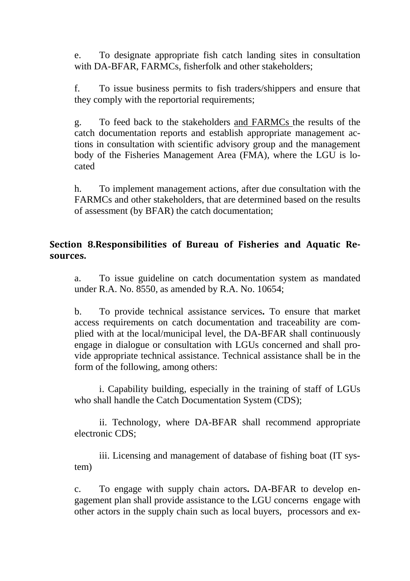e. To designate appropriate fish catch landing sites in consultation with DA-BFAR, FARMCs, fisherfolk and other stakeholders;

f. To issue business permits to fish traders/shippers and ensure that they comply with the reportorial requirements;

g. To feed back to the stakeholders and FARMCs the results of the catch documentation reports and establish appropriate management actions in consultation with scientific advisory group and the management body of the Fisheries Management Area (FMA), where the LGU is located

h. To implement management actions, after due consultation with the FARMCs and other stakeholders, that are determined based on the results of assessment (by BFAR) the catch documentation;

#### **Section 8.Responsibilities of Bureau of Fisheries and Aquatic Resources.**

a. To issue guideline on catch documentation system as mandated under R.A. No. 8550, as amended by R.A. No. 10654;

b. To provide technical assistance services**.** To ensure that market access requirements on catch documentation and traceability are complied with at the local/municipal level, the DA-BFAR shall continuously engage in dialogue or consultation with LGUs concerned and shall provide appropriate technical assistance. Technical assistance shall be in the form of the following, among others:

i. Capability building, especially in the training of staff of LGUs who shall handle the Catch Documentation System (CDS);

ii. Technology, where DA-BFAR shall recommend appropriate electronic CDS;

iii. Licensing and management of database of fishing boat (IT system)

c. To engage with supply chain actors**.** DA-BFAR to develop engagement plan shall provide assistance to the LGU concerns engage with other actors in the supply chain such as local buyers, processors and ex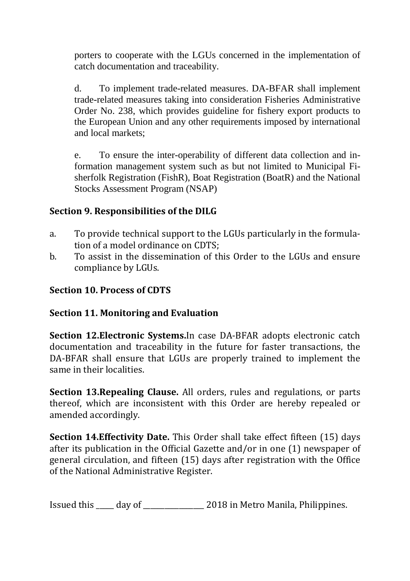porters to cooperate with the LGUs concerned in the implementation of catch documentation and traceability.

d. To implement trade-related measures. DA-BFAR shall implement trade-related measures taking into consideration Fisheries Administrative Order No. 238, which provides guideline for fishery export products to the European Union and any other requirements imposed by international and local markets;

e. To ensure the inter-operability of different data collection and information management system such as but not limited to Municipal Fisherfolk Registration (FishR), Boat Registration (BoatR) and the National Stocks Assessment Program (NSAP)

## **Section 9. Responsibilities of the DILG**

- a. To provide technical support to the LGUs particularly in the formulation of a model ordinance on CDTS;
- b. To assist in the dissemination of this Order to the LGUs and ensure compliance by LGUs.

# **Section 10. Process of CDTS**

### **Section 11. Monitoring and Evaluation**

**Section 12.Electronic Systems.**In case DA-BFAR adopts electronic catch documentation and traceability in the future for faster transactions, the DA-BFAR shall ensure that LGUs are properly trained to implement the same in their localities.

**Section 13.Repealing Clause.** All orders, rules and regulations, or parts thereof, which are inconsistent with this Order are hereby repealed or amended accordingly.

**Section 14.Effectivity Date.** This Order shall take effect fifteen (15) days after its publication in the Official Gazette and/or in one (1) newspaper of general circulation, and fifteen (15) days after registration with the Office of the National Administrative Register.

Issued this \_\_\_\_\_ day of \_\_\_\_\_\_\_\_\_\_\_\_\_\_\_\_\_ 2018 in Metro Manila, Philippines.